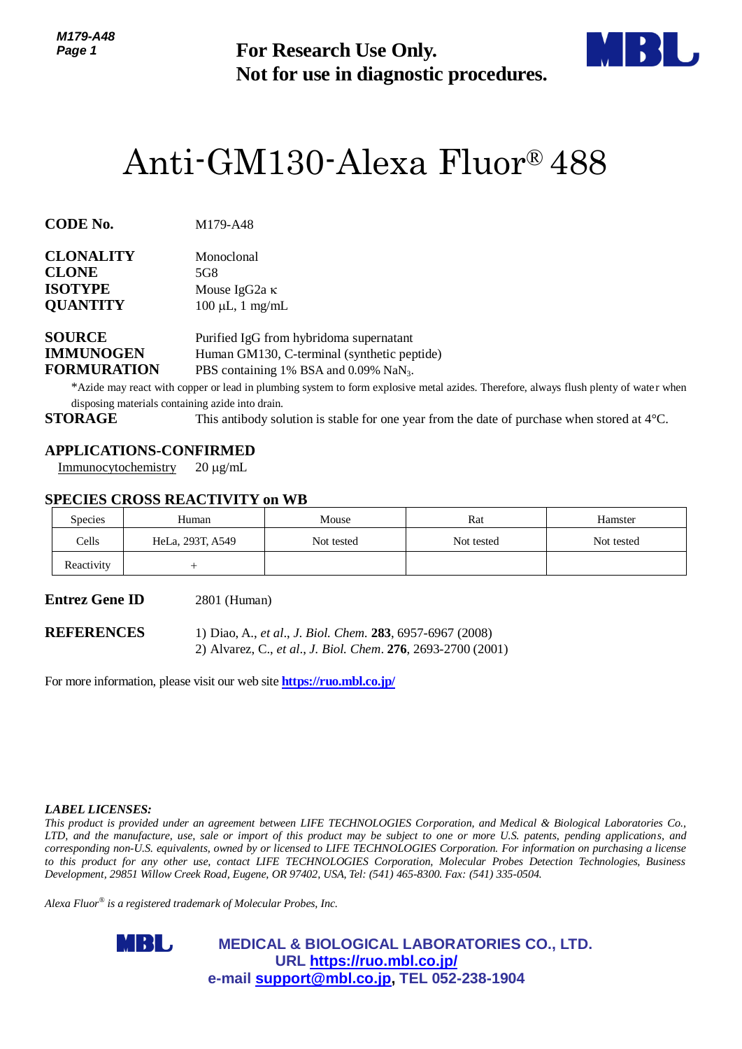

# Anti-GM130-Alexa Fluor® 488

| CODE No. | M179-A48 |
|----------|----------|
|          |          |

| <b>CLONALITY</b> | Monoclonal            |  |
|------------------|-----------------------|--|
| <b>CLONE</b>     | 5G8                   |  |
| <b>ISOTYPE</b>   | Mouse IgG2a $\kappa$  |  |
| <b>QUANTITY</b>  | $100 \mu L$ , 1 mg/mL |  |
|                  |                       |  |

# **APPLICATIONS-CONFIRMED**

# **SPECIES CROSS REACTIVITY on WB**

| Page 1                                                                    |                                                                                                        | <b>For Research Use Only.</b><br>Not for use in diagnostic procedures.                                                                                                                                                                                |            |                                                                                                                                                                                                                                                                                                                                                                                                                                                                                                                                          |  |  |
|---------------------------------------------------------------------------|--------------------------------------------------------------------------------------------------------|-------------------------------------------------------------------------------------------------------------------------------------------------------------------------------------------------------------------------------------------------------|------------|------------------------------------------------------------------------------------------------------------------------------------------------------------------------------------------------------------------------------------------------------------------------------------------------------------------------------------------------------------------------------------------------------------------------------------------------------------------------------------------------------------------------------------------|--|--|
|                                                                           | Anti-GM130-Alexa Fluor® 488                                                                            |                                                                                                                                                                                                                                                       |            |                                                                                                                                                                                                                                                                                                                                                                                                                                                                                                                                          |  |  |
| CODE No.                                                                  | M179-A48                                                                                               |                                                                                                                                                                                                                                                       |            |                                                                                                                                                                                                                                                                                                                                                                                                                                                                                                                                          |  |  |
| <b>CLONALITY</b><br>CLONE<br><b>ISOTYPE</b><br><b>QUANTITY</b>            | Monoclonal<br>5G8<br>Mouse IgG <sub>2a</sub> κ<br>$100 \mu L$ , 1 mg/mL                                |                                                                                                                                                                                                                                                       |            |                                                                                                                                                                                                                                                                                                                                                                                                                                                                                                                                          |  |  |
| <b>SOURCE</b><br><b>IMMUNOGEN</b><br><b>FORMURATION</b><br><b>STORAGE</b> | disposing materials containing azide into drain.                                                       | Purified IgG from hybridoma supernatant<br>Human GM130, C-terminal (synthetic peptide)<br>PBS containing 1% BSA and 0.09% NaN <sub>3</sub> .<br>This antibody solution is stable for one year from the date of purchase when stored at $4^{\circ}$ C. |            | *Azide may react with copper or lead in plumbing system to form explosive metal azides. Therefore, always flush plenty of water when                                                                                                                                                                                                                                                                                                                                                                                                     |  |  |
| Immunocytochemistry                                                       | <b>APPLICATIONS-CONFIRMED</b><br>$20 \mu g/mL$<br><b>SPECIES CROSS REACTIVITY on WB</b>                |                                                                                                                                                                                                                                                       |            |                                                                                                                                                                                                                                                                                                                                                                                                                                                                                                                                          |  |  |
| <b>Species</b>                                                            | Human                                                                                                  | Mouse                                                                                                                                                                                                                                                 | Rat        | Hamster                                                                                                                                                                                                                                                                                                                                                                                                                                                                                                                                  |  |  |
| Cells                                                                     | HeLa, 293T, A549                                                                                       | Not tested                                                                                                                                                                                                                                            | Not tested | Not tested                                                                                                                                                                                                                                                                                                                                                                                                                                                                                                                               |  |  |
| Reactivity                                                                | $^{+}$                                                                                                 |                                                                                                                                                                                                                                                       |            |                                                                                                                                                                                                                                                                                                                                                                                                                                                                                                                                          |  |  |
| Entrez Gene ID                                                            | 2801 (Human)                                                                                           |                                                                                                                                                                                                                                                       |            |                                                                                                                                                                                                                                                                                                                                                                                                                                                                                                                                          |  |  |
| <b>REFERENCES</b>                                                         |                                                                                                        | 1) Diao, A., et al., J. Biol. Chem. 283, 6957-6967 (2008)<br>2) Alvarez, C., et al., J. Biol. Chem. 276, 2693-2700 (2001)                                                                                                                             |            |                                                                                                                                                                                                                                                                                                                                                                                                                                                                                                                                          |  |  |
|                                                                           | For more information, please visit our web site <b>https://ruo.mbl.co.jp/</b>                          |                                                                                                                                                                                                                                                       |            |                                                                                                                                                                                                                                                                                                                                                                                                                                                                                                                                          |  |  |
|                                                                           |                                                                                                        |                                                                                                                                                                                                                                                       |            |                                                                                                                                                                                                                                                                                                                                                                                                                                                                                                                                          |  |  |
| <i><b>LABEL LICENSES:</b></i>                                             | Development, 29851 Willow Creek Road, Eugene, OR 97402, USA, Tel: (541) 465-8300. Fax: (541) 335-0504. |                                                                                                                                                                                                                                                       |            | This product is provided under an agreement between LIFE TECHNOLOGIES Corporation, and Medical & Biological Laboratories Co.,<br>LTD, and the manufacture, use, sale or import of this product may be subject to one or more U.S. patents, pending applications, and<br>corresponding non-U.S. equivalents, owned by or licensed to LIFE TECHNOLOGIES Corporation. For information on purchasing a license<br>o this product for any other use, contact LIFE TECHNOLOGIES Corporation, Molecular Probes Detection Technologies, Business |  |  |
|                                                                           | Alexa Fluor® is a registered trademark of Molecular Probes, Inc.                                       |                                                                                                                                                                                                                                                       |            |                                                                                                                                                                                                                                                                                                                                                                                                                                                                                                                                          |  |  |
|                                                                           | MBL,                                                                                                   | <b>MEDICAL &amp; BIOLOGICAL LABORATORIES CO., LTD.</b><br>URL https://ruo.mbl.co.jp/<br>e-mail support@mbl.co.jp, TEL 052-238-1904                                                                                                                    |            |                                                                                                                                                                                                                                                                                                                                                                                                                                                                                                                                          |  |  |

#### *LABEL LICENSES:*

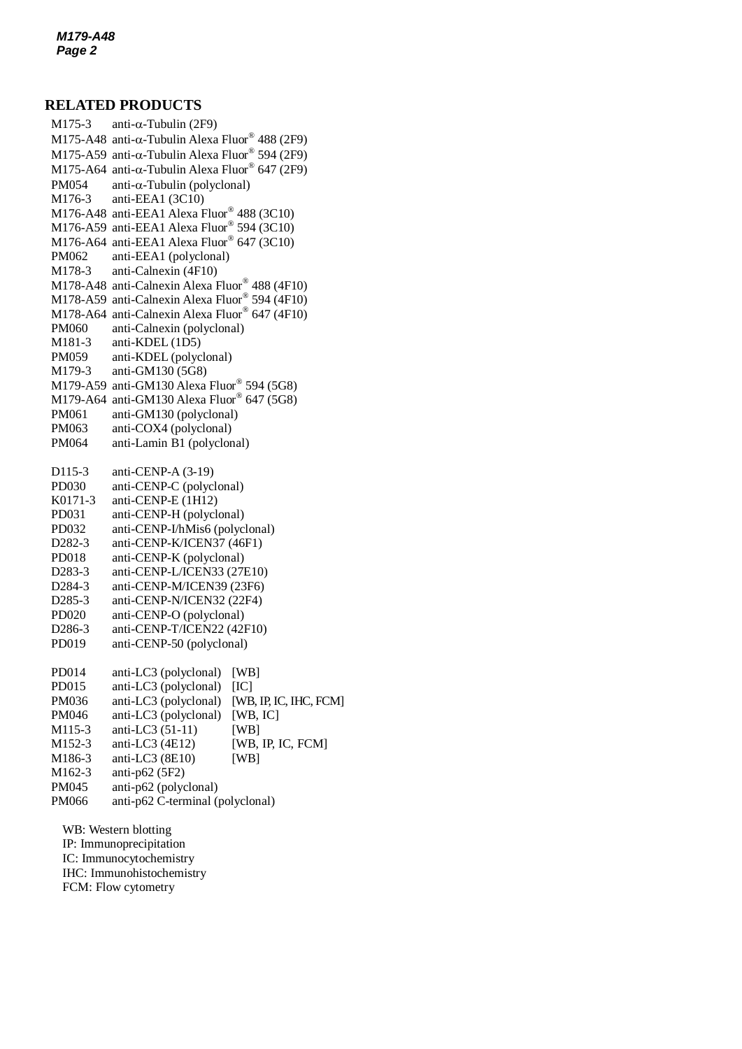## **RELATED PRODUCTS**

 $M175$ -A48 anti- $\alpha$ -Tubulin Alexa Fluor® 488 (2F9) M175-3 anti- $\alpha$ -Tubulin (2F9) M175-A59 anti- $\alpha$ -Tubulin Alexa Fluor® 594 (2F9) M175-A64 anti- $\alpha$ -Tubulin Alexa Fluor® 647 (2F9)  $PM054$  anti- $\alpha$ -Tubulin (polyclonal) M176-3 anti-EEA1 (3C10) M176-A48 anti-EEA1 Alexa Fluor® 488 (3C10) M176-A59 anti-EEA1 Alexa Fluor® 594 (3C10) M176-A64 anti-EEA1 Alexa Fluor® 647 (3C10) PM062 anti-EEA1 (polyclonal) M178-3 anti-Calnexin (4F10) M178-A48 anti-Calnexin Alexa Fluor® 488 (4F10) M178-A59 anti-Calnexin Alexa Fluor® 594 (4F10) M178-A64 anti-Calnexin Alexa Fluor® 647 (4F10) PM060 anti-Calnexin (polyclonal) M181-3 anti-KDEL (1D5) PM059 anti-KDEL (polyclonal) M179-3 anti-GM130 (5G8) M179-A59 anti-GM130 Alexa Fluor® 594 (5G8) M179-A64 anti-GM130 Alexa Fluor® 647 (5G8) PM061 anti-GM130 (polyclonal) PM063 anti-COX4 (polyclonal) PM064 anti-Lamin B1 (polyclonal) D115-3 anti-CENP-A (3-19) PD030 anti-CENP-C (polyclonal) K0171-3 anti-CENP-E (1H12) PD031 anti-CENP-H (polyclonal) PD032 anti-CENP-I/hMis6 (polyclonal) D282-3 anti-CENP-K/ICEN37 (46F1) PD018 anti-CENP-K (polyclonal) D283-3 anti-CENP-L/ICEN33 (27E10) D284-3 anti-CENP-M/ICEN39 (23F6) D285-3 anti-CENP-N/ICEN32 (22F4) PD020 anti-CENP-O (polyclonal) D286-3 anti-CENP-T/ICEN22 (42F10) PD019 anti-CENP-50 (polyclonal) PD014 anti-LC3 (polyclonal) [WB] PD015 anti-LC3 (polyclonal) [IC] PM036 anti-LC3 (polyclonal) [WB, IP, IC, IHC, FCM] PM046 anti-LC3 (polyclonal) [WB, IC] M115-3 anti-LC3 (51-11) [WB] M152-3 anti-LC3 (4E12) [WB, IP, IC, FCM] M186-3 anti-LC3 (8E10) [WB] M162-3 anti-p62 (5F2) PM045 anti-p62 (polyclonal) PM066 anti-p62 C-terminal (polyclonal) WB: Western blotting IP: Immunoprecipitation

IC: Immunocytochemistry IHC: Immunohistochemistry FCM: Flow cytometry